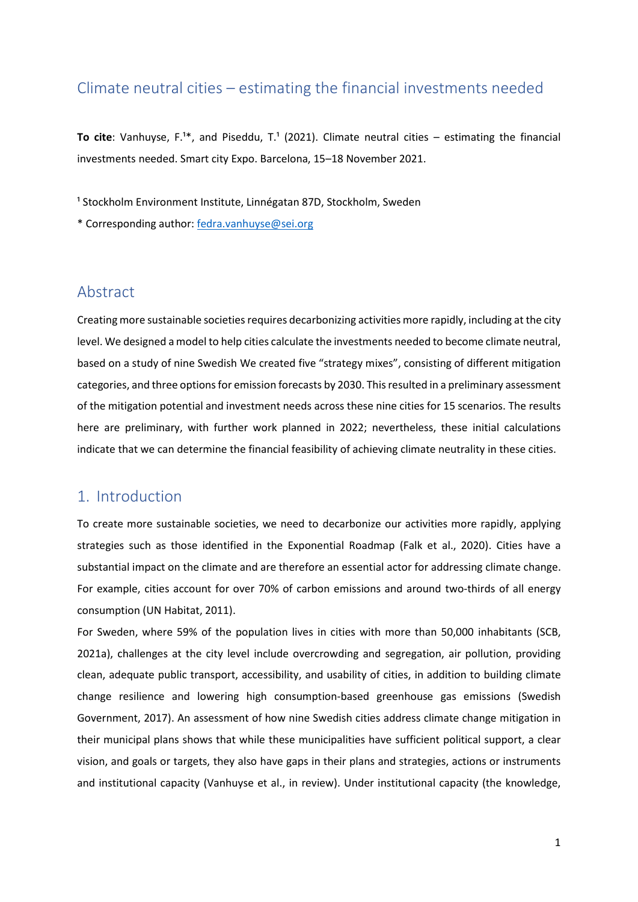## Climate neutral cities – estimating the financial investments needed

**To cite**: Vanhuyse,  $F^{1*}$ , and Piseddu, T.<sup>1</sup> (2021). Climate neutral cities – estimating the financial investments needed. Smart city Expo. Barcelona, 15–18 November 2021.

<sup>1</sup> Stockholm Environment Institute, Linnégatan 87D, Stockholm, Sweden

\* Corresponding author: [fedra.vanhuyse@sei.org](mailto:fedra.vanhuyse@sei.org)

### Abstract

Creating more sustainable societies requires decarbonizing activities more rapidly, including at the city level. We designed a model to help cities calculate the investments needed to become climate neutral, based on a study of nine Swedish We created five "strategy mixes", consisting of different mitigation categories, and three options for emission forecasts by 2030. This resulted in a preliminary assessment of the mitigation potential and investment needs across these nine cities for 15 scenarios. The results here are preliminary, with further work planned in 2022; nevertheless, these initial calculations indicate that we can determine the financial feasibility of achieving climate neutrality in these cities.

## 1. Introduction

To create more sustainable societies, we need to decarbonize our activities more rapidly, applying strategies such as those identified in the Exponential Roadmap (Falk et al., 2020). Cities have a substantial impact on the climate and are therefore an essential actor for addressing climate change. For example, cities account for over 70% of carbon emissions and around two-thirds of all energy consumption (UN Habitat, 2011).

For Sweden, where 59% of the population lives in cities with more than 50,000 inhabitants (SCB, 2021a), challenges at the city level include overcrowding and segregation, air pollution, providing clean, adequate public transport, accessibility, and usability of cities, in addition to building climate change resilience and lowering high consumption-based greenhouse gas emissions (Swedish Government, 2017). An assessment of how nine Swedish cities address climate change mitigation in their municipal plans shows that while these municipalities have sufficient political support, a clear vision, and goals or targets, they also have gaps in their plans and strategies, actions or instruments and institutional capacity (Vanhuyse et al., in review). Under institutional capacity (the knowledge,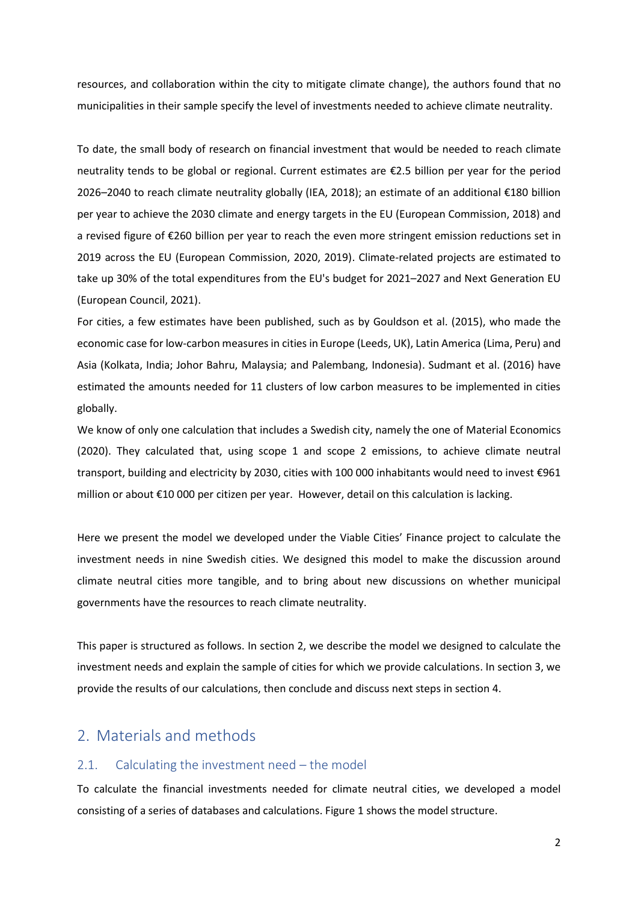resources, and collaboration within the city to mitigate climate change), the authors found that no municipalities in their sample specify the level of investments needed to achieve climate neutrality.

To date, the small body of research on financial investment that would be needed to reach climate neutrality tends to be global or regional. Current estimates are €2.5 billion per year for the period 2026–2040 to reach climate neutrality globally (IEA, 2018); an estimate of an additional €180 billion per year to achieve the 2030 climate and energy targets in the EU (European Commission, 2018) and a revised figure of €260 billion per year to reach the even more stringent emission reductions set in 2019 across the EU (European Commission, 2020, 2019). Climate-related projects are estimated to take up 30% of the total expenditures from the EU's budget for 2021–2027 and Next Generation EU (European Council, 2021).

For cities, a few estimates have been published, such as by Gouldson et al. (2015), who made the economic case for low-carbon measures in cities in Europe (Leeds, UK), Latin America (Lima, Peru) and Asia (Kolkata, India; Johor Bahru, Malaysia; and Palembang, Indonesia). Sudmant et al. (2016) have estimated the amounts needed for 11 clusters of low carbon measures to be implemented in cities globally.

We know of only one calculation that includes a Swedish city, namely the one of Material Economics (2020). They calculated that, using scope 1 and scope 2 emissions, to achieve climate neutral transport, building and electricity by 2030, cities with 100 000 inhabitants would need to invest €961 million or about €10 000 per citizen per year. However, detail on this calculation is lacking.

Here we present the model we developed under the Viable Cities' Finance project to calculate the investment needs in nine Swedish cities. We designed this model to make the discussion around climate neutral cities more tangible, and to bring about new discussions on whether municipal governments have the resources to reach climate neutrality.

This paper is structured as follows. In section 2, we describe the model we designed to calculate the investment needs and explain the sample of cities for which we provide calculations. In section 3, we provide the results of our calculations, then conclude and discuss next steps in section 4.

## 2. Materials and methods

#### 2.1. Calculating the investment need – the model

To calculate the financial investments needed for climate neutral cities, we developed a model consisting of a series of databases and calculations. Figure 1 shows the model structure.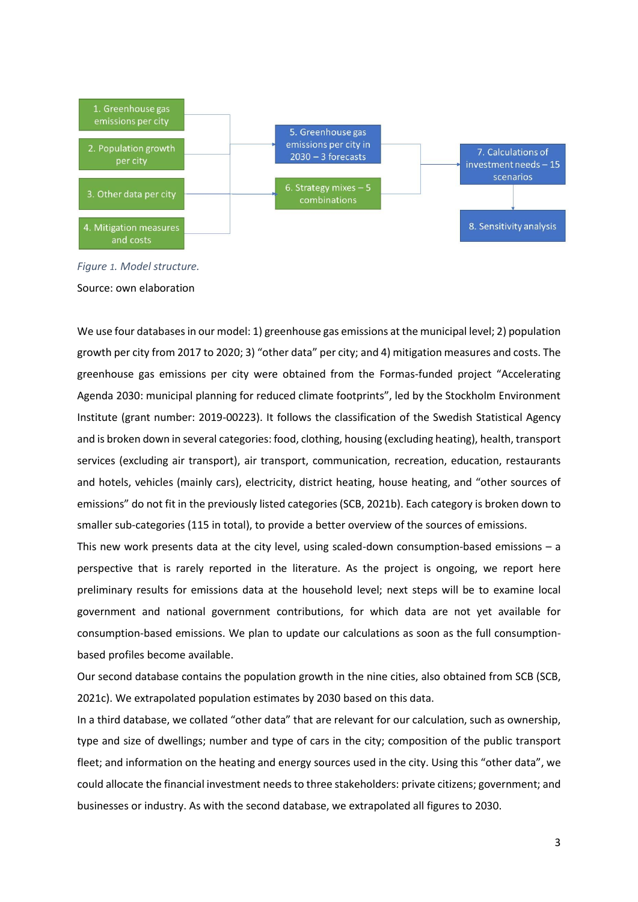

*Figure 1. Model structure.* Source: own elaboration

We use four databases in our model: 1) greenhouse gas emissions at the municipal level; 2) population growth per city from 2017 to 2020; 3) "other data" per city; and 4) mitigation measures and costs. The greenhouse gas emissions per city were obtained from the Formas-funded project "Accelerating Agenda 2030: municipal planning for reduced climate footprints", led by the Stockholm Environment Institute (grant number: 2019-00223). It follows the classification of the Swedish Statistical Agency and is broken down in several categories: food, clothing, housing (excluding heating), health, transport services (excluding air transport), air transport, communication, recreation, education, restaurants and hotels, vehicles (mainly cars), electricity, district heating, house heating, and "other sources of emissions" do not fit in the previously listed categories (SCB, 2021b). Each category is broken down to smaller sub-categories (115 in total), to provide a better overview of the sources of emissions.

This new work presents data at the city level, using scaled-down consumption-based emissions – a perspective that is rarely reported in the literature. As the project is ongoing, we report here preliminary results for emissions data at the household level; next steps will be to examine local government and national government contributions, for which data are not yet available for consumption-based emissions. We plan to update our calculations as soon as the full consumptionbased profiles become available.

Our second database contains the population growth in the nine cities, also obtained from SCB (SCB, 2021c). We extrapolated population estimates by 2030 based on this data.

In a third database, we collated "other data" that are relevant for our calculation, such as ownership, type and size of dwellings; number and type of cars in the city; composition of the public transport fleet; and information on the heating and energy sources used in the city. Using this "other data", we could allocate the financial investment needs to three stakeholders: private citizens; government; and businesses or industry. As with the second database, we extrapolated all figures to 2030.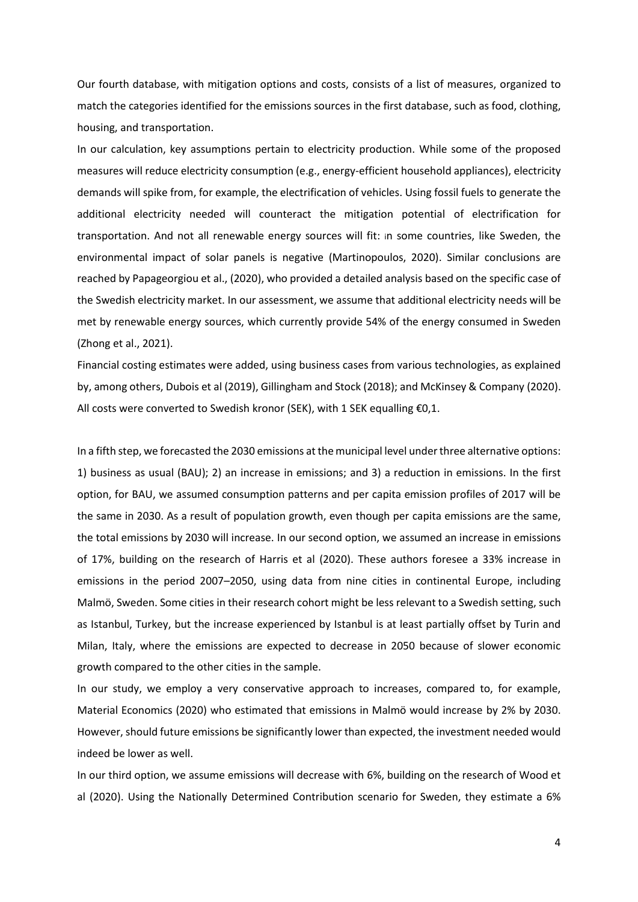Our fourth database, with mitigation options and costs, consists of a list of measures, organized to match the categories identified for the emissions sources in the first database, such as food, clothing, housing, and transportation.

In our calculation, key assumptions pertain to electricity production. While some of the proposed measures will reduce electricity consumption (e.g., energy-efficient household appliances), electricity demands will spike from, for example, the electrification of vehicles. Using fossil fuels to generate the additional electricity needed will counteract the mitigation potential of electrification for transportation. And not all renewable energy sources will fit: in some countries, like Sweden, the environmental impact of solar panels is negative (Martinopoulos, 2020). Similar conclusions are reached by Papageorgiou et al., (2020), who provided a detailed analysis based on the specific case of the Swedish electricity market. In our assessment, we assume that additional electricity needs will be met by renewable energy sources, which currently provide 54% of the energy consumed in Sweden (Zhong et al., 2021).

Financial costing estimates were added, using business cases from various technologies, as explained by, among others, Dubois et al (2019), Gillingham and Stock (2018); and McKinsey & Company (2020). All costs were converted to Swedish kronor (SEK), with 1 SEK equalling €0,1.

In a fifth step, we forecasted the 2030 emissions at themunicipal level under three alternative options: 1) business as usual (BAU); 2) an increase in emissions; and 3) a reduction in emissions. In the first option, for BAU, we assumed consumption patterns and per capita emission profiles of 2017 will be the same in 2030. As a result of population growth, even though per capita emissions are the same, the total emissions by 2030 will increase. In our second option, we assumed an increase in emissions of 17%, building on the research of Harris et al (2020). These authors foresee a 33% increase in emissions in the period 2007–2050, using data from nine cities in continental Europe, including Malmö, Sweden. Some cities in their research cohort might be less relevant to a Swedish setting, such as Istanbul, Turkey, but the increase experienced by Istanbul is at least partially offset by Turin and Milan, Italy, where the emissions are expected to decrease in 2050 because of slower economic growth compared to the other cities in the sample.

In our study, we employ a very conservative approach to increases, compared to, for example, Material Economics (2020) who estimated that emissions in Malmö would increase by 2% by 2030. However, should future emissions be significantly lower than expected, the investment needed would indeed be lower as well.

In our third option, we assume emissions will decrease with 6%, building on the research of Wood et al (2020). Using the Nationally Determined Contribution scenario for Sweden, they estimate a 6%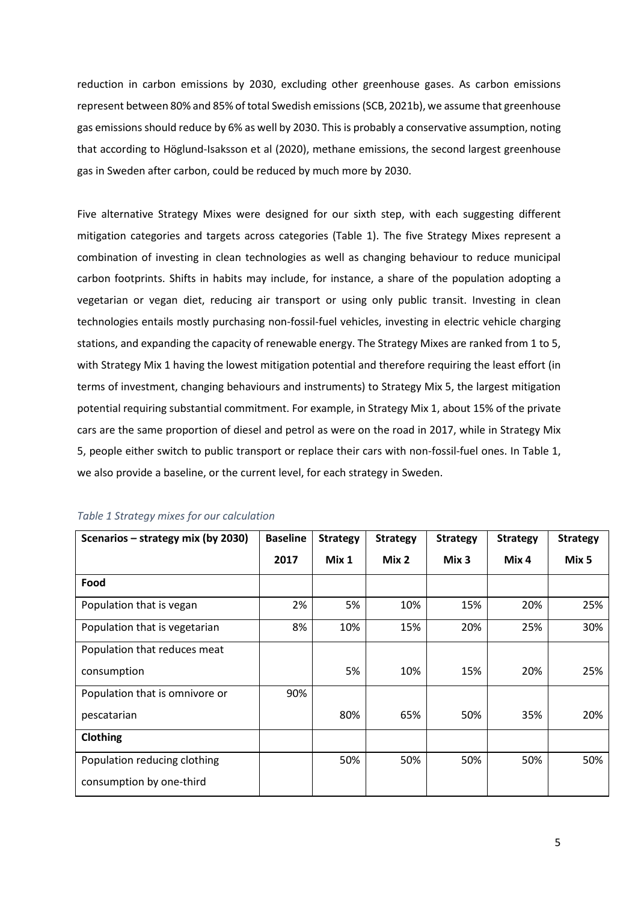reduction in carbon emissions by 2030, excluding other greenhouse gases. As carbon emissions represent between 80% and 85% of total Swedish emissions (SCB, 2021b), we assume that greenhouse gas emissions should reduce by 6% as well by 2030. This is probably a conservative assumption, noting that according to Höglund-Isaksson et al (2020), methane emissions, the second largest greenhouse gas in Sweden after carbon, could be reduced by much more by 2030.

Five alternative Strategy Mixes were designed for our sixth step, with each suggesting different mitigation categories and targets across categories (Table 1). The five Strategy Mixes represent a combination of investing in clean technologies as well as changing behaviour to reduce municipal carbon footprints. Shifts in habits may include, for instance, a share of the population adopting a vegetarian or vegan diet, reducing air transport or using only public transit. Investing in clean technologies entails mostly purchasing non-fossil-fuel vehicles, investing in electric vehicle charging stations, and expanding the capacity of renewable energy. The Strategy Mixes are ranked from 1 to 5, with Strategy Mix 1 having the lowest mitigation potential and therefore requiring the least effort (in terms of investment, changing behaviours and instruments) to Strategy Mix 5, the largest mitigation potential requiring substantial commitment. For example, in Strategy Mix 1, about 15% of the private cars are the same proportion of diesel and petrol as were on the road in 2017, while in Strategy Mix 5, people either switch to public transport or replace their cars with non-fossil-fuel ones. In Table 1, we also provide a baseline, or the current level, for each strategy in Sweden.

| Scenarios – strategy mix (by 2030) | <b>Baseline</b> | <b>Strategy</b> | <b>Strategy</b> | <b>Strategy</b>  | <b>Strategy</b> | <b>Strategy</b> |
|------------------------------------|-----------------|-----------------|-----------------|------------------|-----------------|-----------------|
|                                    | 2017            | Mix 1           | Mix 2           | Mix <sub>3</sub> | Mix 4           | Mix 5           |
| Food                               |                 |                 |                 |                  |                 |                 |
| Population that is vegan           | 2%              | 5%              | 10%             | 15%              | 20%             | 25%             |
| Population that is vegetarian      | 8%              | 10%             | 15%             | 20%              | 25%             | 30%             |
| Population that reduces meat       |                 |                 |                 |                  |                 |                 |
| consumption                        |                 | 5%              | 10%             | 15%              | 20%             | 25%             |
| Population that is omnivore or     | 90%             |                 |                 |                  |                 |                 |
| pescatarian                        |                 | 80%             | 65%             | 50%              | 35%             | 20%             |
| Clothing                           |                 |                 |                 |                  |                 |                 |
| Population reducing clothing       |                 | 50%             | 50%             | 50%              | 50%             | 50%             |
| consumption by one-third           |                 |                 |                 |                  |                 |                 |

*Table 1 Strategy mixes for our calculation*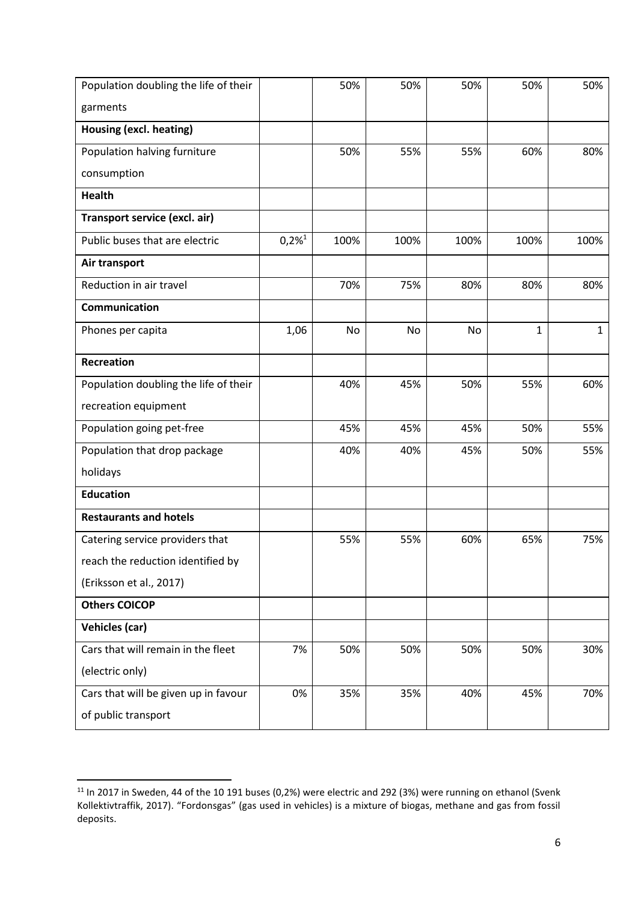| Population doubling the life of their |                      | 50%  | 50%  | 50%  | 50%  | 50%          |
|---------------------------------------|----------------------|------|------|------|------|--------------|
| garments                              |                      |      |      |      |      |              |
| Housing (excl. heating)               |                      |      |      |      |      |              |
| Population halving furniture          |                      | 50%  | 55%  | 55%  | 60%  | 80%          |
| consumption                           |                      |      |      |      |      |              |
| <b>Health</b>                         |                      |      |      |      |      |              |
| Transport service (excl. air)         |                      |      |      |      |      |              |
| Public buses that are electric        | $0,2\%$ <sup>1</sup> | 100% | 100% | 100% | 100% | 100%         |
| Air transport                         |                      |      |      |      |      |              |
| Reduction in air travel               |                      | 70%  | 75%  | 80%  | 80%  | 80%          |
| <b>Communication</b>                  |                      |      |      |      |      |              |
| Phones per capita                     | 1,06                 | No   | No   | No   | 1    | $\mathbf{1}$ |
| <b>Recreation</b>                     |                      |      |      |      |      |              |
| Population doubling the life of their |                      | 40%  | 45%  | 50%  | 55%  | 60%          |
| recreation equipment                  |                      |      |      |      |      |              |
| Population going pet-free             |                      | 45%  | 45%  | 45%  | 50%  | 55%          |
| Population that drop package          |                      | 40%  | 40%  | 45%  | 50%  | 55%          |
| holidays                              |                      |      |      |      |      |              |
| <b>Education</b>                      |                      |      |      |      |      |              |
| <b>Restaurants and hotels</b>         |                      |      |      |      |      |              |
| Catering service providers that       |                      | 55%  | 55%  | 60%  | 65%  | 75%          |
| reach the reduction identified by     |                      |      |      |      |      |              |
| (Eriksson et al., 2017)               |                      |      |      |      |      |              |
| <b>Others COICOP</b>                  |                      |      |      |      |      |              |
| <b>Vehicles (car)</b>                 |                      |      |      |      |      |              |
| Cars that will remain in the fleet    | 7%                   | 50%  | 50%  | 50%  | 50%  | 30%          |
| (electric only)                       |                      |      |      |      |      |              |
| Cars that will be given up in favour  | 0%                   | 35%  | 35%  | 40%  | 45%  | 70%          |
| of public transport                   |                      |      |      |      |      |              |

<sup>&</sup>lt;sup>11</sup> In 2017 in Sweden, 44 of the 10 191 buses (0,2%) were electric and 292 (3%) were running on ethanol (Svenk Kollektivtraffik, 2017). "Fordonsgas" (gas used in vehicles) is a mixture of biogas, methane and gas from fossil deposits.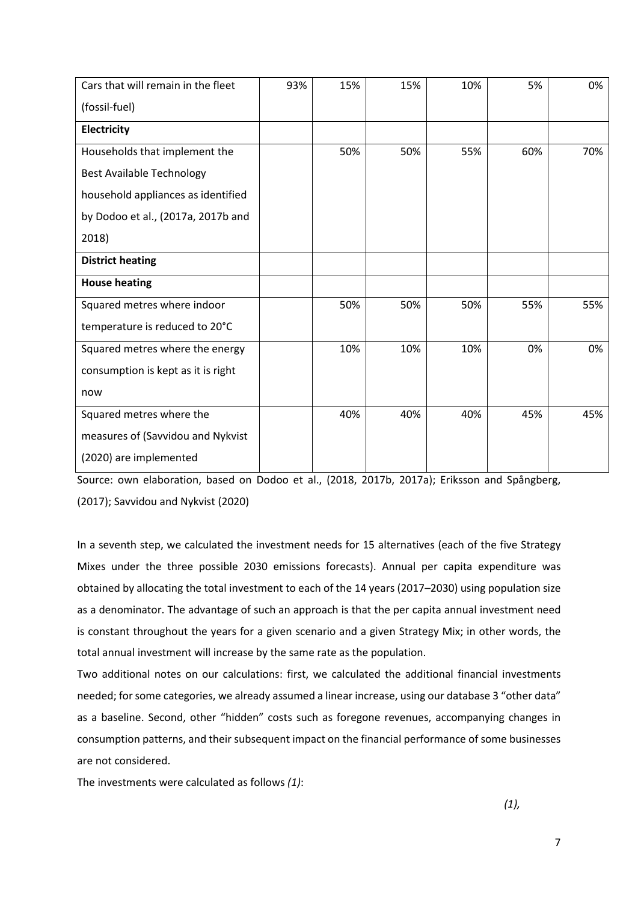| Cars that will remain in the fleet | 93% | 15% | 15% | 10% | 5%  | 0%  |
|------------------------------------|-----|-----|-----|-----|-----|-----|
| (fossil-fuel)                      |     |     |     |     |     |     |
| Electricity                        |     |     |     |     |     |     |
| Households that implement the      |     | 50% | 50% | 55% | 60% | 70% |
| <b>Best Available Technology</b>   |     |     |     |     |     |     |
| household appliances as identified |     |     |     |     |     |     |
| by Dodoo et al., (2017a, 2017b and |     |     |     |     |     |     |
| 2018)                              |     |     |     |     |     |     |
| <b>District heating</b>            |     |     |     |     |     |     |
| <b>House heating</b>               |     |     |     |     |     |     |
| Squared metres where indoor        |     | 50% | 50% | 50% | 55% | 55% |
| temperature is reduced to 20°C     |     |     |     |     |     |     |
| Squared metres where the energy    |     | 10% | 10% | 10% | 0%  | 0%  |
| consumption is kept as it is right |     |     |     |     |     |     |
| now                                |     |     |     |     |     |     |
| Squared metres where the           |     | 40% | 40% | 40% | 45% | 45% |
| measures of (Savvidou and Nykvist  |     |     |     |     |     |     |
| (2020) are implemented             |     |     |     |     |     |     |

Source: own elaboration, based on Dodoo et al., (2018, 2017b, 2017a); Eriksson and Spångberg, (2017); Savvidou and Nykvist (2020)

In a seventh step, we calculated the investment needs for 15 alternatives (each of the five Strategy Mixes under the three possible 2030 emissions forecasts). Annual per capita expenditure was obtained by allocating the total investment to each of the 14 years (2017–2030) using population size as a denominator. The advantage of such an approach is that the per capita annual investment need is constant throughout the years for a given scenario and a given Strategy Mix; in other words, the total annual investment will increase by the same rate as the population.

Two additional notes on our calculations: first, we calculated the additional financial investments needed; for some categories, we already assumed a linear increase, using our database 3 "other data" as a baseline. Second, other "hidden" costs such as foregone revenues, accompanying changes in consumption patterns, and their subsequent impact on the financial performance of some businesses are not considered.

The investments were calculated as follows *(1)*:

*(1),*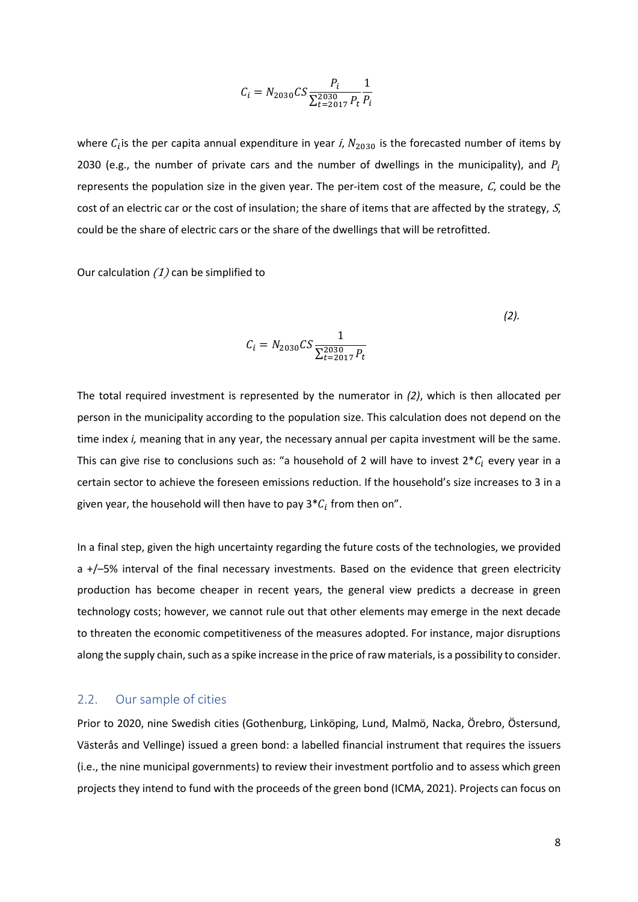$$
C_i = N_{2030}CS \frac{P_i}{\sum_{t=2017}^{2030} P_t} \frac{1}{P_i}
$$

where  $C_i$  is the per capita annual expenditure in year *i*,  $N_{2030}$  is the forecasted number of items by 2030 (e.g., the number of private cars and the number of dwellings in the municipality), and  $P_i$ represents the population size in the given year. The per-item cost of the measure,  $C$ , could be the cost of an electric car or the cost of insulation; the share of items that are affected by the strategy, S, could be the share of electric cars or the share of the dwellings that will be retrofitted.

Our calculation  $(1)$  can be simplified to

$$
C_i = N_{2030} CS \frac{1}{\sum_{t=2017}^{2030} P_t}
$$

The total required investment is represented by the numerator in *(2)*, which is then allocated per person in the municipality according to the population size. This calculation does not depend on the time index *i,* meaning that in any year, the necessary annual per capita investment will be the same. This can give rise to conclusions such as: "a household of 2 will have to invest  $2 * C_i$  every year in a certain sector to achieve the foreseen emissions reduction. If the household's size increases to 3 in a given year, the household will then have to pay 3 $^*C_i$  from then on".

In a final step, given the high uncertainty regarding the future costs of the technologies, we provided a +/–5% interval of the final necessary investments. Based on the evidence that green electricity production has become cheaper in recent years, the general view predicts a decrease in green technology costs; however, we cannot rule out that other elements may emerge in the next decade to threaten the economic competitiveness of the measures adopted. For instance, major disruptions along the supply chain, such as a spike increase in the price of raw materials, is a possibility to consider.

#### 2.2. Our sample of cities

Prior to 2020, nine Swedish cities (Gothenburg, Linköping, Lund, Malmö, Nacka, Örebro, Östersund, Västerås and Vellinge) issued a green bond: a labelled financial instrument that requires the issuers (i.e., the nine municipal governments) to review their investment portfolio and to assess which green projects they intend to fund with the proceeds of the green bond (ICMA, 2021). Projects can focus on

*(2).*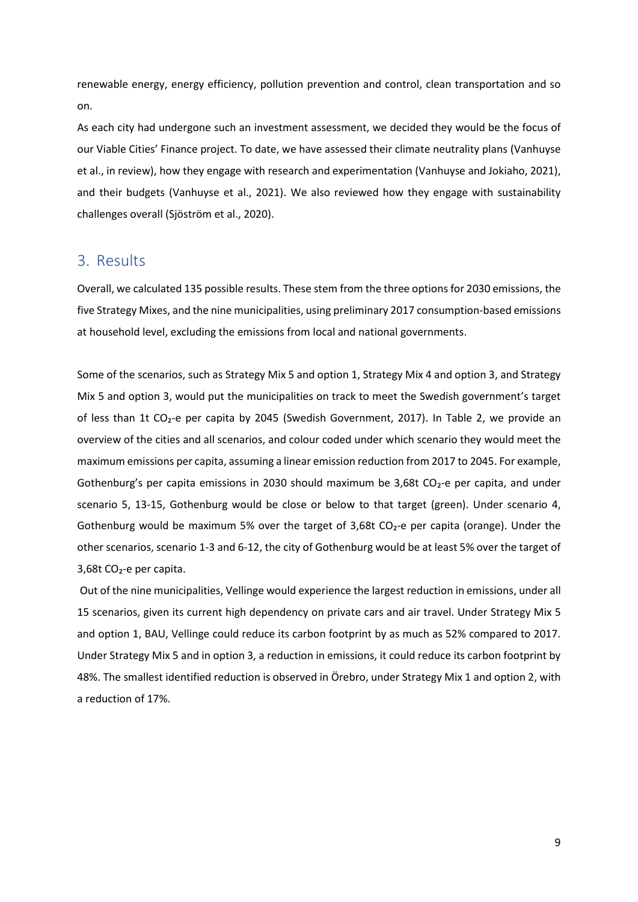renewable energy, energy efficiency, pollution prevention and control, clean transportation and so on.

As each city had undergone such an investment assessment, we decided they would be the focus of our Viable Cities' Finance project. To date, we have assessed their climate neutrality plans (Vanhuyse et al., in review), how they engage with research and experimentation (Vanhuyse and Jokiaho, 2021), and their budgets (Vanhuyse et al., 2021). We also reviewed how they engage with sustainability challenges overall (Sjöström et al., 2020).

### 3. Results

Overall, we calculated 135 possible results. These stem from the three options for 2030 emissions, the five Strategy Mixes, and the nine municipalities, using preliminary 2017 consumption-based emissions at household level, excluding the emissions from local and national governments.

Some of the scenarios, such as Strategy Mix 5 and option 1, Strategy Mix 4 and option 3, and Strategy Mix 5 and option 3, would put the municipalities on track to meet the Swedish government's target of less than 1t CO₂-e per capita by 2045 (Swedish Government, 2017). In Table 2, we provide an overview of the cities and all scenarios, and colour coded under which scenario they would meet the maximum emissions per capita, assuming a linear emission reduction from 2017 to 2045. For example, Gothenburg's per capita emissions in 2030 should maximum be 3,68t  $CO<sub>2</sub>$ -e per capita, and under scenario 5, 13-15, Gothenburg would be close or below to that target (green). Under scenario 4, Gothenburg would be maximum 5% over the target of 3,68t CO<sub>2</sub>-e per capita (orange). Under the other scenarios, scenario 1-3 and 6-12, the city of Gothenburg would be at least 5% over the target of 3,68t CO₂-e per capita.

Out of the nine municipalities, Vellinge would experience the largest reduction in emissions, under all 15 scenarios, given its current high dependency on private cars and air travel. Under Strategy Mix 5 and option 1, BAU, Vellinge could reduce its carbon footprint by as much as 52% compared to 2017. Under Strategy Mix 5 and in option 3, a reduction in emissions, it could reduce its carbon footprint by 48%. The smallest identified reduction is observed in Örebro, under Strategy Mix 1 and option 2, with a reduction of 17%.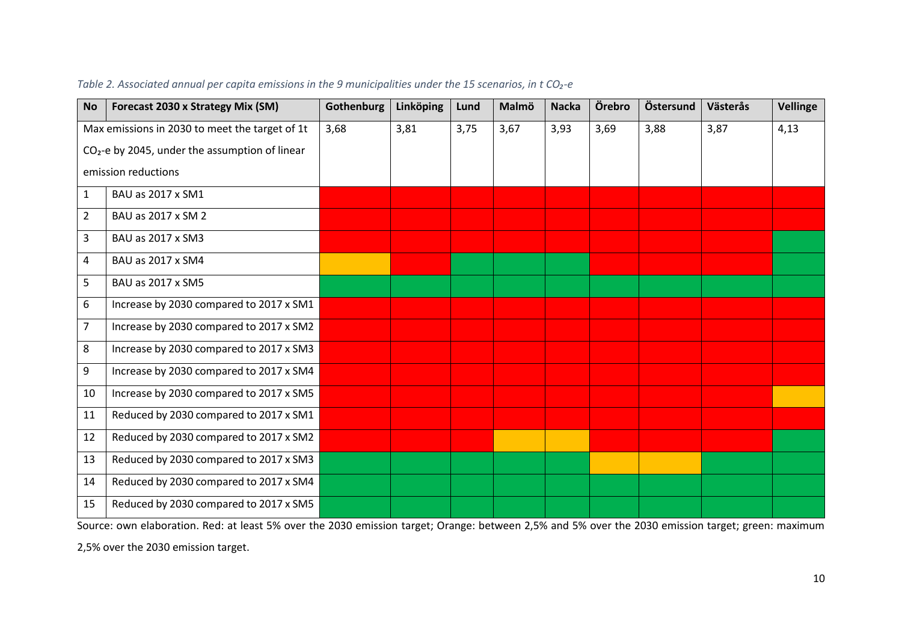| <b>No</b>      | Forecast 2030 x Strategy Mix (SM)                          | Gothenburg | Linköping | Lund | Malmö | <b>Nacka</b> | Örebro | Östersund | Västerås | <b>Vellinge</b> |
|----------------|------------------------------------------------------------|------------|-----------|------|-------|--------------|--------|-----------|----------|-----------------|
|                | Max emissions in 2030 to meet the target of 1t             | 3,68       | 3,81      | 3,75 | 3,67  | 3,93         | 3,69   | 3,88      | 3,87     | 4,13            |
|                | CO <sub>2</sub> -e by 2045, under the assumption of linear |            |           |      |       |              |        |           |          |                 |
|                | emission reductions                                        |            |           |      |       |              |        |           |          |                 |
| $\mathbf{1}$   | BAU as 2017 x SM1                                          |            |           |      |       |              |        |           |          |                 |
| $\overline{2}$ | BAU as 2017 x SM 2                                         |            |           |      |       |              |        |           |          |                 |
| 3              | BAU as 2017 x SM3                                          |            |           |      |       |              |        |           |          |                 |
| 4              | BAU as 2017 x SM4                                          |            |           |      |       |              |        |           |          |                 |
| 5              | BAU as 2017 x SM5                                          |            |           |      |       |              |        |           |          |                 |
| 6              | Increase by 2030 compared to 2017 x SM1                    |            |           |      |       |              |        |           |          |                 |
| $\overline{7}$ | Increase by 2030 compared to 2017 x SM2                    |            |           |      |       |              |        |           |          |                 |
| 8              | Increase by 2030 compared to 2017 x SM3                    |            |           |      |       |              |        |           |          |                 |
| 9              | Increase by 2030 compared to 2017 x SM4                    |            |           |      |       |              |        |           |          |                 |
| 10             | Increase by 2030 compared to 2017 x SM5                    |            |           |      |       |              |        |           |          |                 |
| 11             | Reduced by 2030 compared to 2017 x SM1                     |            |           |      |       |              |        |           |          |                 |
| 12             | Reduced by 2030 compared to 2017 x SM2                     |            |           |      |       |              |        |           |          |                 |
| 13             | Reduced by 2030 compared to 2017 x SM3                     |            |           |      |       |              |        |           |          |                 |
| 14             | Reduced by 2030 compared to 2017 x SM4                     |            |           |      |       |              |        |           |          |                 |
| 15             | Reduced by 2030 compared to 2017 x SM5                     |            |           |      |       |              |        |           |          |                 |

#### *Table 2. Associated annual per capita emissions in the 9 municipalities under the 15 scenarios, in t CO₂-e*

Source: own elaboration. Red: at least 5% over the 2030 emission target; Orange: between 2,5% and 5% over the 2030 emission target; green: maximum

2,5% over the 2030 emission target.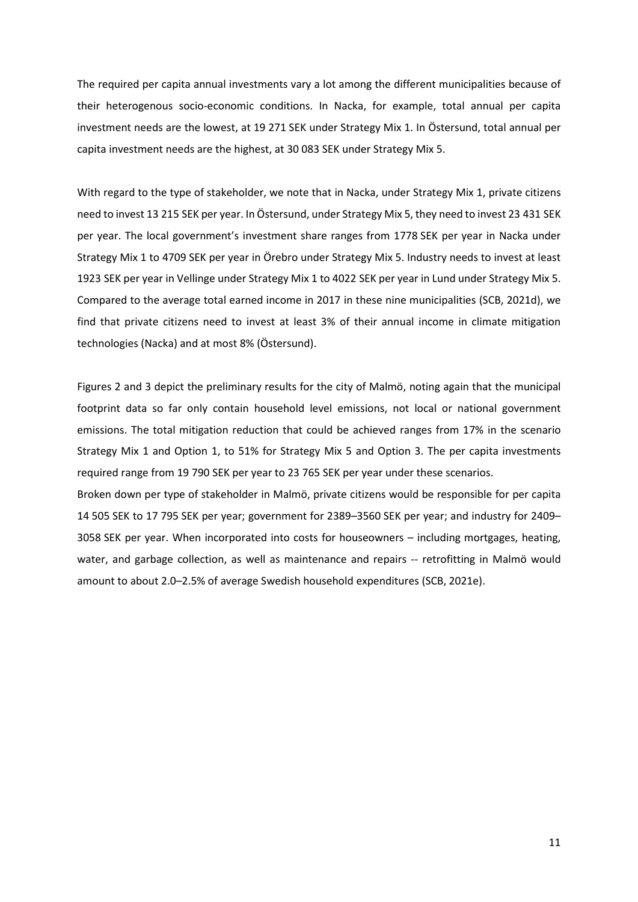The required per capita annual investments vary a lot among the different municipalities because of their heterogenous socio-economic conditions. In Nacka, for example, total annual per capita investment needs are the lowest, at 19 271 SEK under Strategy Mix 1. In Östersund, total annual per capita investment needs are the highest, at 30 083 SEK under Strategy Mix 5.

With regard to the type of stakeholder, we note that in Nacka, under Strategy Mix 1, private citizens need to invest 13 215 SEK per year. In Östersund, under Strategy Mix 5, they need to invest 23 431 SEK per year. The local government's investment share ranges from 1778 SEK per year in Nacka under Strategy Mix 1 to 4709 SEK per year in Örebro under Strategy Mix 5. Industry needs to invest at least 1923 SEK per year in Vellinge under Strategy Mix 1 to 4022 SEK per year in Lund under Strategy Mix 5. Compared to the average total earned income in 2017 in these nine municipalities (SCB, 2021d), we find that private citizens need to invest at least 3% of their annual income in climate mitigation technologies (Nacka) and at most 8% (Östersund).

Figures 2 and 3 depict the preliminary results for the city of Malmö, noting again that the municipal footprint data so far only contain household level emissions, not local or national government emissions. The total mitigation reduction that could be achieved ranges from 17% in the scenario Strategy Mix 1 and Option 1, to 51% for Strategy Mix 5 and Option 3. The per capita investments required range from 19 790 SEK per year to 23 765 SEK per year under these scenarios. Broken down per type of stakeholder in Malmö, private citizens would be responsible for per capita 14 505 SEK to 17 795 SEK per year; government for 2389–3560 SEK per year; and industry for 2409– 3058 SEK per year. When incorporated into costs for houseowners – including mortgages, heating, water, and garbage collection, as well as maintenance and repairs -- retrofitting in Malmö would amount to about 2.0–2.5% of average Swedish household expenditures (SCB, 2021e).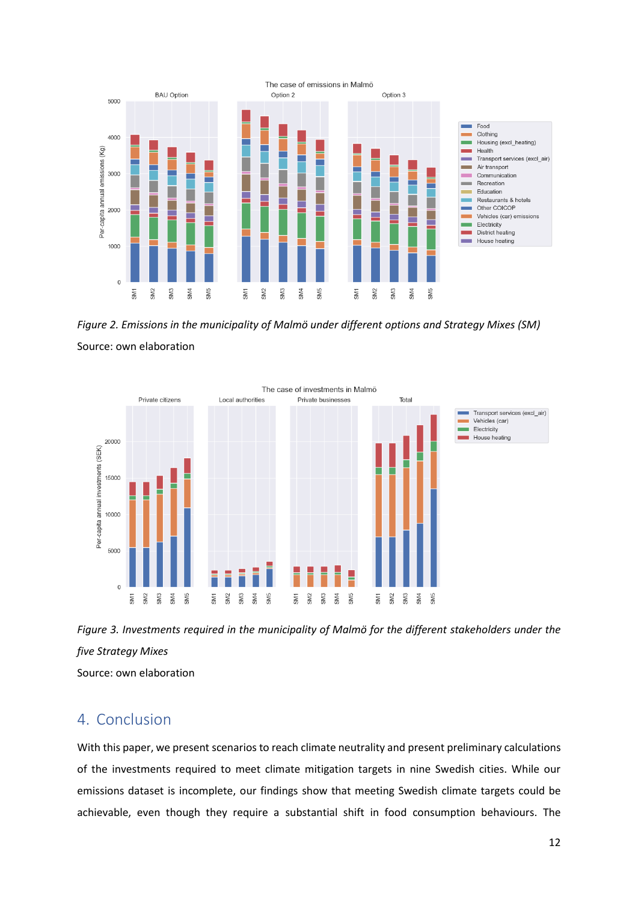

*Figure 2. Emissions in the municipality of Malmö under different options and Strategy Mixes (SM)* Source: own elaboration





Source: own elaboration

### 4. Conclusion

With this paper, we present scenarios to reach climate neutrality and present preliminary calculations of the investments required to meet climate mitigation targets in nine Swedish cities. While our emissions dataset is incomplete, our findings show that meeting Swedish climate targets could be achievable, even though they require a substantial shift in food consumption behaviours. The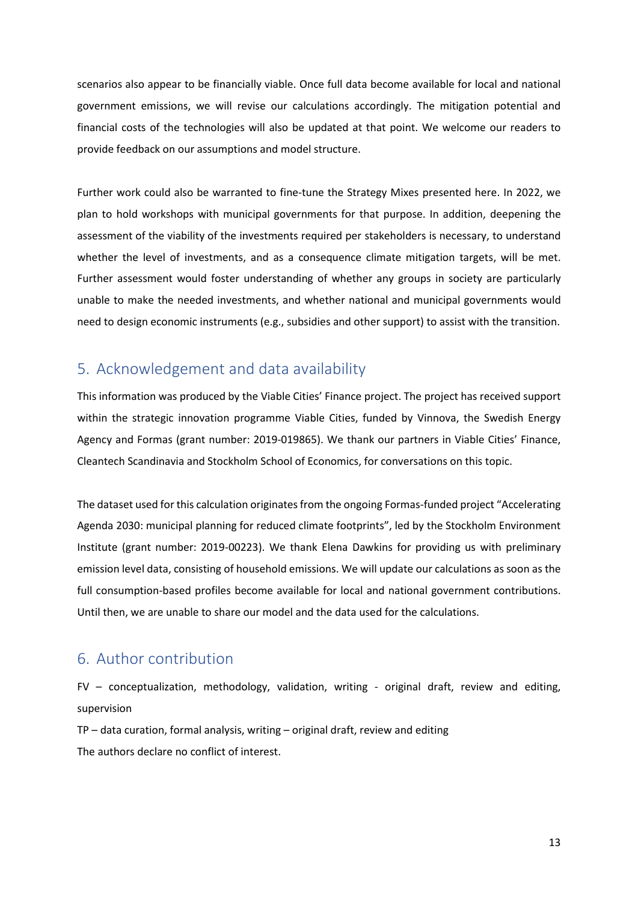scenarios also appear to be financially viable. Once full data become available for local and national government emissions, we will revise our calculations accordingly. The mitigation potential and financial costs of the technologies will also be updated at that point. We welcome our readers to provide feedback on our assumptions and model structure.

Further work could also be warranted to fine-tune the Strategy Mixes presented here. In 2022, we plan to hold workshops with municipal governments for that purpose. In addition, deepening the assessment of the viability of the investments required per stakeholders is necessary, to understand whether the level of investments, and as a consequence climate mitigation targets, will be met. Further assessment would foster understanding of whether any groups in society are particularly unable to make the needed investments, and whether national and municipal governments would need to design economic instruments (e.g., subsidies and other support) to assist with the transition.

# 5. Acknowledgement and data availability

This information was produced by the Viable Cities' Finance project. The project has received support within the strategic innovation programme Viable Cities, funded by Vinnova, the Swedish Energy Agency and Formas (grant number: 2019-019865). We thank our partners in Viable Cities' Finance, Cleantech Scandinavia and Stockholm School of Economics, for conversations on this topic.

The dataset used for this calculation originates from the ongoing Formas-funded project "Accelerating Agenda 2030: municipal planning for reduced climate footprints", led by the Stockholm Environment Institute (grant number: 2019-00223). We thank Elena Dawkins for providing us with preliminary emission level data, consisting of household emissions. We will update our calculations as soon as the full consumption-based profiles become available for local and national government contributions. Until then, we are unable to share our model and the data used for the calculations.

## 6. Author contribution

FV – conceptualization, methodology, validation, writing - original draft, review and editing, supervision

TP – data curation, formal analysis, writing – original draft, review and editing The authors declare no conflict of interest.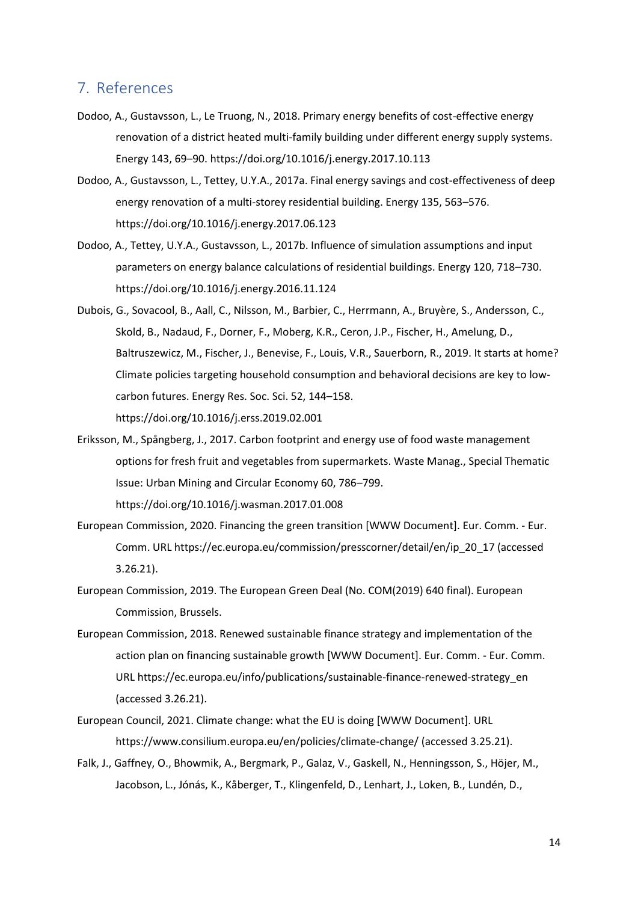#### 7. References

- Dodoo, A., Gustavsson, L., Le Truong, N., 2018. Primary energy benefits of cost-effective energy renovation of a district heated multi-family building under different energy supply systems. Energy 143, 69–90. https://doi.org/10.1016/j.energy.2017.10.113
- Dodoo, A., Gustavsson, L., Tettey, U.Y.A., 2017a. Final energy savings and cost-effectiveness of deep energy renovation of a multi-storey residential building. Energy 135, 563–576. https://doi.org/10.1016/j.energy.2017.06.123
- Dodoo, A., Tettey, U.Y.A., Gustavsson, L., 2017b. Influence of simulation assumptions and input parameters on energy balance calculations of residential buildings. Energy 120, 718–730. https://doi.org/10.1016/j.energy.2016.11.124
- Dubois, G., Sovacool, B., Aall, C., Nilsson, M., Barbier, C., Herrmann, A., Bruyère, S., Andersson, C., Skold, B., Nadaud, F., Dorner, F., Moberg, K.R., Ceron, J.P., Fischer, H., Amelung, D., Baltruszewicz, M., Fischer, J., Benevise, F., Louis, V.R., Sauerborn, R., 2019. It starts at home? Climate policies targeting household consumption and behavioral decisions are key to lowcarbon futures. Energy Res. Soc. Sci. 52, 144–158. https://doi.org/10.1016/j.erss.2019.02.001
- Eriksson, M., Spångberg, J., 2017. Carbon footprint and energy use of food waste management options for fresh fruit and vegetables from supermarkets. Waste Manag., Special Thematic Issue: Urban Mining and Circular Economy 60, 786–799. https://doi.org/10.1016/j.wasman.2017.01.008
- European Commission, 2020. Financing the green transition [WWW Document]. Eur. Comm. Eur. Comm. URL https://ec.europa.eu/commission/presscorner/detail/en/ip\_20\_17 (accessed 3.26.21).
- European Commission, 2019. The European Green Deal (No. COM(2019) 640 final). European Commission, Brussels.
- European Commission, 2018. Renewed sustainable finance strategy and implementation of the action plan on financing sustainable growth [WWW Document]. Eur. Comm. - Eur. Comm. URL https://ec.europa.eu/info/publications/sustainable-finance-renewed-strategy\_en (accessed 3.26.21).
- European Council, 2021. Climate change: what the EU is doing [WWW Document]. URL https://www.consilium.europa.eu/en/policies/climate-change/ (accessed 3.25.21).
- Falk, J., Gaffney, O., Bhowmik, A., Bergmark, P., Galaz, V., Gaskell, N., Henningsson, S., Höjer, M., Jacobson, L., Jónás, K., Kåberger, T., Klingenfeld, D., Lenhart, J., Loken, B., Lundén, D.,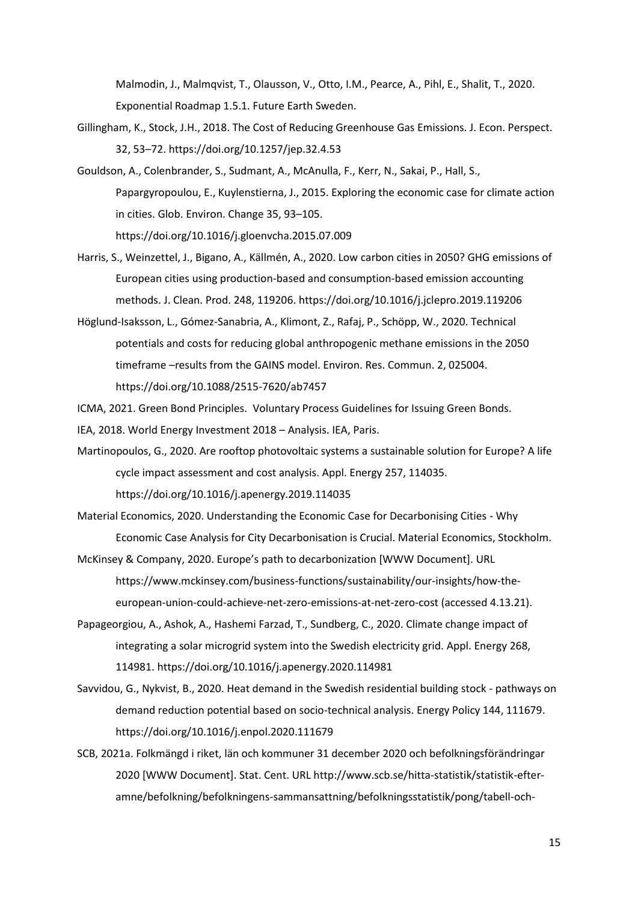Malmodin, J., Malmqvist, T., Olausson, V., Otto, I.M., Pearce, A., Pihl, E., Shalit, T., 2020. Exponential Roadmap 1.5.1. Future Earth Sweden.

- Gillingham, K., Stock, J.H., 2018. The Cost of Reducing Greenhouse Gas Emissions. J. Econ. Perspect. 32, 53–72. https://doi.org/10.1257/jep.32.4.53
- Gouldson, A., Colenbrander, S., Sudmant, A., McAnulla, F., Kerr, N., Sakai, P., Hall, S., Papargyropoulou, E., Kuylenstierna, J., 2015. Exploring the economic case for climate action in cities. Glob. Environ. Change 35, 93–105. https://doi.org/10.1016/j.gloenvcha.2015.07.009
- Harris, S., Weinzettel, J., Bigano, A., Källmén, A., 2020. Low carbon cities in 2050? GHG emissions of European cities using production-based and consumption-based emission accounting methods. J. Clean. Prod. 248, 119206. https://doi.org/10.1016/j.jclepro.2019.119206
- Höglund-Isaksson, L., Gómez-Sanabria, A., Klimont, Z., Rafaj, P., Schöpp, W., 2020. Technical potentials and costs for reducing global anthropogenic methane emissions in the 2050 timeframe –results from the GAINS model. Environ. Res. Commun. 2, 025004. https://doi.org/10.1088/2515-7620/ab7457
- ICMA, 2021. Green Bond Principles. Voluntary Process Guidelines for Issuing Green Bonds.
- IEA, 2018. World Energy Investment 2018 Analysis. IEA, Paris.
- Martinopoulos, G., 2020. Are rooftop photovoltaic systems a sustainable solution for Europe? A life cycle impact assessment and cost analysis. Appl. Energy 257, 114035. https://doi.org/10.1016/j.apenergy.2019.114035
- Material Economics, 2020. Understanding the Economic Case for Decarbonising Cities Why Economic Case Analysis for City Decarbonisation is Crucial. Material Economics, Stockholm.
- McKinsey & Company, 2020. Europe's path to decarbonization [WWW Document]. URL https://www.mckinsey.com/business-functions/sustainability/our-insights/how-theeuropean-union-could-achieve-net-zero-emissions-at-net-zero-cost (accessed 4.13.21).
- Papageorgiou, A., Ashok, A., Hashemi Farzad, T., Sundberg, C., 2020. Climate change impact of integrating a solar microgrid system into the Swedish electricity grid. Appl. Energy 268, 114981. https://doi.org/10.1016/j.apenergy.2020.114981
- Savvidou, G., Nykvist, B., 2020. Heat demand in the Swedish residential building stock pathways on demand reduction potential based on socio-technical analysis. Energy Policy 144, 111679. https://doi.org/10.1016/j.enpol.2020.111679
- SCB, 2021a. Folkmängd i riket, län och kommuner 31 december 2020 och befolkningsförändringar 2020 [WWW Document]. Stat. Cent. URL http://www.scb.se/hitta-statistik/statistik-efteramne/befolkning/befolkningens-sammansattning/befolkningsstatistik/pong/tabell-och-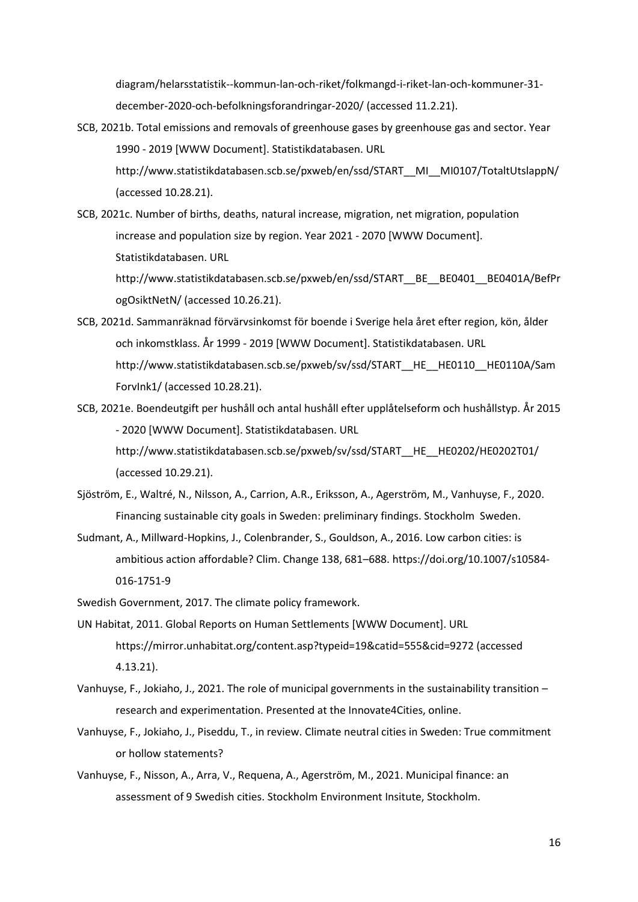diagram/helarsstatistik--kommun-lan-och-riket/folkmangd-i-riket-lan-och-kommuner-31 december-2020-och-befolkningsforandringar-2020/ (accessed 11.2.21).

- SCB, 2021b. Total emissions and removals of greenhouse gases by greenhouse gas and sector. Year 1990 - 2019 [WWW Document]. Statistikdatabasen. URL http://www.statistikdatabasen.scb.se/pxweb/en/ssd/START\_\_MI\_\_MI0107/TotaltUtslappN/ (accessed 10.28.21).
- SCB, 2021c. Number of births, deaths, natural increase, migration, net migration, population increase and population size by region. Year 2021 - 2070 [WWW Document]. Statistikdatabasen. URL

http://www.statistikdatabasen.scb.se/pxweb/en/ssd/START\_\_BE\_\_BE0401\_\_BE0401A/BefPr ogOsiktNetN/ (accessed 10.26.21).

- SCB, 2021d. Sammanräknad förvärvsinkomst för boende i Sverige hela året efter region, kön, ålder och inkomstklass. År 1999 - 2019 [WWW Document]. Statistikdatabasen. URL http://www.statistikdatabasen.scb.se/pxweb/sv/ssd/START\_HE\_HE0110\_HE0110A/Sam ForvInk1/ (accessed 10.28.21).
- SCB, 2021e. Boendeutgift per hushåll och antal hushåll efter upplåtelseform och hushållstyp. År 2015 - 2020 [WWW Document]. Statistikdatabasen. URL http://www.statistikdatabasen.scb.se/pxweb/sv/ssd/START\_\_HE\_\_HE0202/HE0202T01/ (accessed 10.29.21).
- Sjöström, E., Waltré, N., Nilsson, A., Carrion, A.R., Eriksson, A., Agerström, M., Vanhuyse, F., 2020. Financing sustainable city goals in Sweden: preliminary findings. Stockholm Sweden.
- Sudmant, A., Millward-Hopkins, J., Colenbrander, S., Gouldson, A., 2016. Low carbon cities: is ambitious action affordable? Clim. Change 138, 681–688. https://doi.org/10.1007/s10584- 016-1751-9

Swedish Government, 2017. The climate policy framework.

- UN Habitat, 2011. Global Reports on Human Settlements [WWW Document]. URL https://mirror.unhabitat.org/content.asp?typeid=19&catid=555&cid=9272 (accessed 4.13.21).
- Vanhuyse, F., Jokiaho, J., 2021. The role of municipal governments in the sustainability transition research and experimentation. Presented at the Innovate4Cities, online.
- Vanhuyse, F., Jokiaho, J., Piseddu, T., in review. Climate neutral cities in Sweden: True commitment or hollow statements?
- Vanhuyse, F., Nisson, A., Arra, V., Requena, A., Agerström, M., 2021. Municipal finance: an assessment of 9 Swedish cities. Stockholm Environment Insitute, Stockholm.